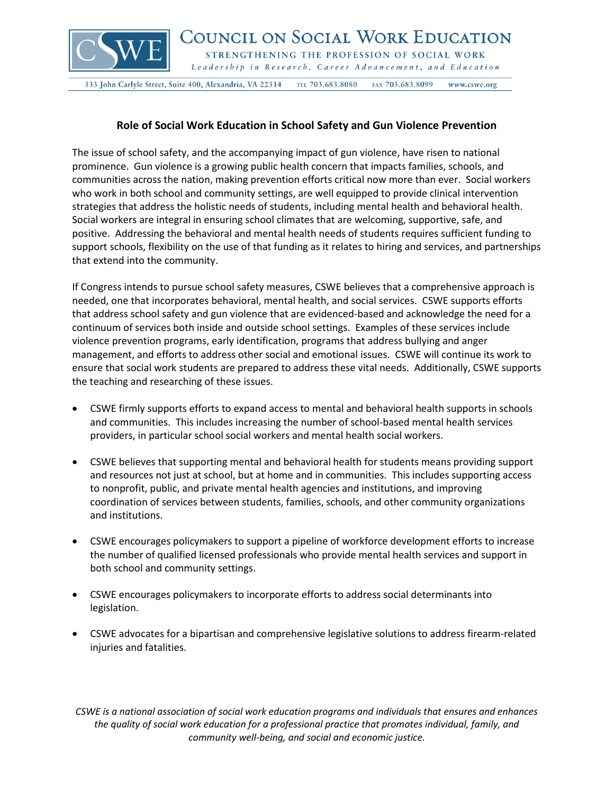

333 John Carlyle Street, Suite 400, Alexandria, VA 22314 TEL 703.683.8080 FAX 703.683.8099 www.cswe.org

## **Role of Social Work Education in School Safety and Gun Violence Prevention**

The issue of school safety, and the accompanying impact of gun violence, have risen to national prominence. Gun violence is a growing public health concern that impacts families, schools, and communities across the nation, making prevention efforts critical now more than ever. Social workers who work in both school and community settings, are well equipped to provide clinical intervention strategies that address the holistic needs of students, including mental health and behavioral health. Social workers are integral in ensuring school climates that are welcoming, supportive, safe, and positive. Addressing the behavioral and mental health needs of students requires sufficient funding to support schools, flexibility on the use of that funding as it relates to hiring and services, and partnerships that extend into the community.

If Congress intends to pursue school safety measures, CSWE believes that a comprehensive approach is needed, one that incorporates behavioral, mental health, and social services. CSWE supports efforts that address school safety and gun violence that are evidenced-based and acknowledge the need for a continuum of services both inside and outside school settings. Examples of these services include violence prevention programs, early identification, programs that address bullying and anger management, and efforts to address other social and emotional issues. CSWE will continue its work to ensure that social work students are prepared to address these vital needs. Additionally, CSWE supports the teaching and researching of these issues.

- CSWE firmly supports efforts to expand access to mental and behavioral health supports in schools and communities. This includes increasing the number of school-based mental health services providers, in particular school social workers and mental health social workers.
- CSWE believes that supporting mental and behavioral health for students means providing support and resources not just at school, but at home and in communities. This includes supporting access to nonprofit, public, and private mental health agencies and institutions, and improving coordination of services between students, families, schools, and other community organizations and institutions.
- CSWE encourages policymakers to support a pipeline of workforce development efforts to increase the number of qualified licensed professionals who provide mental health services and support in both school and community settings.
- CSWE encourages policymakers to incorporate efforts to address social determinants into legislation.
- CSWE advocates for a bipartisan and comprehensive legislative solutions to address firearm-related injuries and fatalities.

*CSWE is a national association of social work education programs and individuals that ensures and enhances the quality of social work education for a professional practice that promotes individual, family, and community well-being, and social and economic justice.*